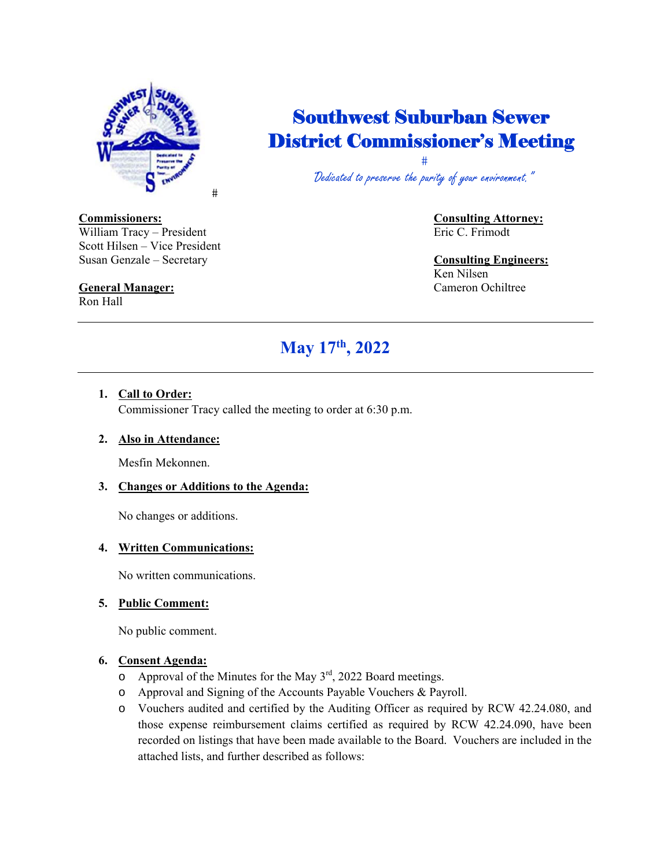

# Southwest Suburban Sewer District Commissioner's Meeting

 $\ddagger$ "Dedicated to preserve the purity of your environment."

William Tracy – President Eric C. Frimodt Scott Hilsen – Vice President Susan Genzale – Secretary **Consulting Engineers:**

# **General Manager:** Cameron Ochiltree

Ron Hall

**Commissioners: Consulting Attorney:** 

Ken Nilsen

# **May 17th, 2022**

## **1. Call to Order:**

Commissioner Tracy called the meeting to order at 6:30 p.m.

#### **2. Also in Attendance:**

Mesfin Mekonnen.

#### **3. Changes or Additions to the Agenda:**

No changes or additions.

### **4. Written Communications:**

No written communications.

#### **5. Public Comment:**

No public comment.

#### **6. Consent Agenda:**

- $\circ$  Approval of the Minutes for the May  $3<sup>rd</sup>$ , 2022 Board meetings.
- o Approval and Signing of the Accounts Payable Vouchers & Payroll.
- o Vouchers audited and certified by the Auditing Officer as required by RCW 42.24.080, and those expense reimbursement claims certified as required by RCW 42.24.090, have been recorded on listings that have been made available to the Board. Vouchers are included in the attached lists, and further described as follows: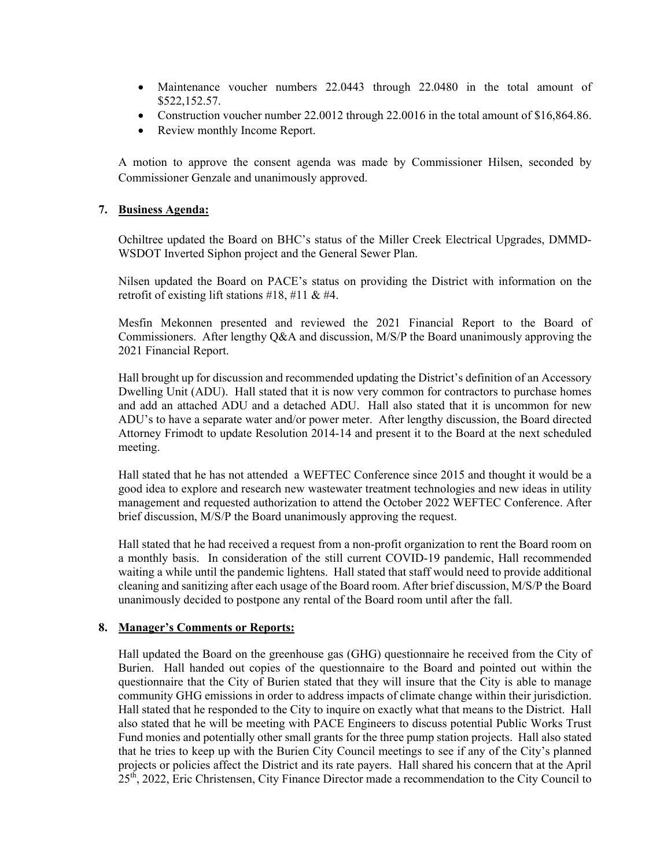- Maintenance voucher numbers 22.0443 through 22.0480 in the total amount of \$522,152.57.
- Construction voucher number 22.0012 through 22.0016 in the total amount of \$16,864.86.
- Review monthly Income Report.

A motion to approve the consent agenda was made by Commissioner Hilsen, seconded by Commissioner Genzale and unanimously approved.

#### **7. Business Agenda:**

Ochiltree updated the Board on BHC's status of the Miller Creek Electrical Upgrades, DMMD-WSDOT Inverted Siphon project and the General Sewer Plan.

Nilsen updated the Board on PACE's status on providing the District with information on the retrofit of existing lift stations  $\#18$ ,  $\#11$  &  $\#4$ .

Mesfin Mekonnen presented and reviewed the 2021 Financial Report to the Board of Commissioners. After lengthy Q&A and discussion, M/S/P the Board unanimously approving the 2021 Financial Report.

Hall brought up for discussion and recommended updating the District's definition of an Accessory Dwelling Unit (ADU). Hall stated that it is now very common for contractors to purchase homes and add an attached ADU and a detached ADU. Hall also stated that it is uncommon for new ADU's to have a separate water and/or power meter. After lengthy discussion, the Board directed Attorney Frimodt to update Resolution 2014-14 and present it to the Board at the next scheduled meeting.

Hall stated that he has not attended a WEFTEC Conference since 2015 and thought it would be a good idea to explore and research new wastewater treatment technologies and new ideas in utility management and requested authorization to attend the October 2022 WEFTEC Conference. After brief discussion, M/S/P the Board unanimously approving the request.

Hall stated that he had received a request from a non-profit organization to rent the Board room on a monthly basis. In consideration of the still current COVID-19 pandemic, Hall recommended waiting a while until the pandemic lightens. Hall stated that staff would need to provide additional cleaning and sanitizing after each usage of the Board room. After brief discussion, M/S/P the Board unanimously decided to postpone any rental of the Board room until after the fall.

#### **8. Manager's Comments or Reports:**

Hall updated the Board on the greenhouse gas (GHG) questionnaire he received from the City of Burien. Hall handed out copies of the questionnaire to the Board and pointed out within the questionnaire that the City of Burien stated that they will insure that the City is able to manage community GHG emissions in order to address impacts of climate change within their jurisdiction. Hall stated that he responded to the City to inquire on exactly what that means to the District. Hall also stated that he will be meeting with PACE Engineers to discuss potential Public Works Trust Fund monies and potentially other small grants for the three pump station projects. Hall also stated that he tries to keep up with the Burien City Council meetings to see if any of the City's planned projects or policies affect the District and its rate payers. Hall shared his concern that at the April 25th, 2022, Eric Christensen, City Finance Director made a recommendation to the City Council to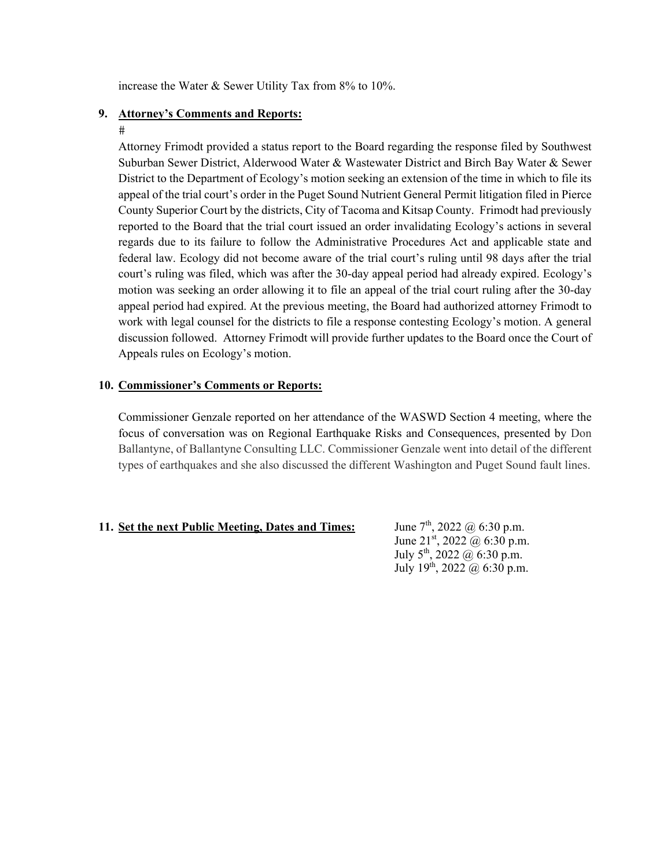increase the Water & Sewer Utility Tax from 8% to 10%.

#### **9. Attorney's Comments and Reports:**

#### $#$

Attorney Frimodt provided a status report to the Board regarding the response filed by Southwest Suburban Sewer District, Alderwood Water & Wastewater District and Birch Bay Water & Sewer District to the Department of Ecology's motion seeking an extension of the time in which to file its appeal of the trial court's order in the Puget Sound Nutrient General Permit litigation filed in Pierce County Superior Court by the districts, City of Tacoma and Kitsap County. Frimodt had previously reported to the Board that the trial court issued an order invalidating Ecology's actions in several regards due to its failure to follow the Administrative Procedures Act and applicable state and federal law. Ecology did not become aware of the trial court's ruling until 98 days after the trial court's ruling was filed, which was after the 30-day appeal period had already expired. Ecology's motion was seeking an order allowing it to file an appeal of the trial court ruling after the 30-day appeal period had expired. At the previous meeting, the Board had authorized attorney Frimodt to work with legal counsel for the districts to file a response contesting Ecology's motion. A general discussion followed. Attorney Frimodt will provide further updates to the Board once the Court of Appeals rules on Ecology's motion.

#### **10. Commissioner's Comments or Reports:**

Commissioner Genzale reported on her attendance of the WASWD Section 4 meeting, where the focus of conversation was on Regional Earthquake Risks and Consequences, presented by Don Ballantyne, of Ballantyne Consulting LLC. Commissioner Genzale went into detail of the different types of earthquakes and she also discussed the different Washington and Puget Sound fault lines.

#### **11.** Set the next Public Meeting, Dates and Times: June  $7<sup>th</sup>$ , 2022  $@$  6:30 p.m.

June  $21^{st}$ , 2022 @ 6:30 p.m. July  $5^{\text{th}}$ , 2022 @ 6:30 p.m. July 19th, 2022 @ 6:30 p.m.